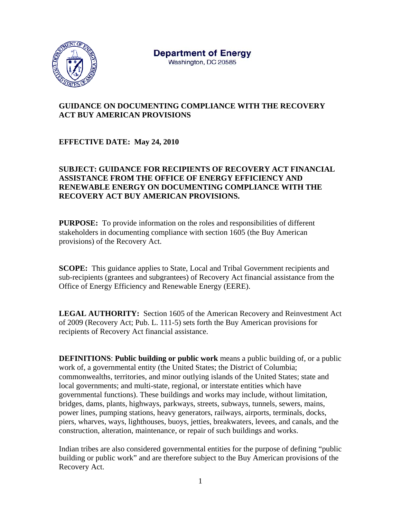

# **GUIDANCE ON DOCUMENTING COMPLIANCE WITH THE RECOVERY ACT BUY AMERICAN PROVISIONS**

## **EFFECTIVE DATE: May 24, 2010**

### **SUBJECT: GUIDANCE FOR RECIPIENTS OF RECOVERY ACT FINANCIAL ASSISTANCE FROM THE OFFICE OF ENERGY EFFICIENCY AND RENEWABLE ENERGY ON DOCUMENTING COMPLIANCE WITH THE RECOVERY ACT BUY AMERICAN PROVISIONS.**

**PURPOSE:** To provide information on the roles and responsibilities of different stakeholders in documenting compliance with section 1605 (the Buy American provisions) of the Recovery Act.

**SCOPE:** This guidance applies to State, Local and Tribal Government recipients and sub-recipients (grantees and subgrantees) of Recovery Act financial assistance from the Office of Energy Efficiency and Renewable Energy (EERE).

**LEGAL AUTHORITY:** Section 1605 of the American Recovery and Reinvestment Act of 2009 (Recovery Act; Pub. L. 111-5) sets forth the Buy American provisions for recipients of Recovery Act financial assistance.

**DEFINITIONS**: **Public building or public work** means a public building of, or a public work of, a governmental entity (the United States; the District of Columbia; commonwealths, territories, and minor outlying islands of the United States; state and local governments; and multi-state, regional, or interstate entities which have governmental functions). These buildings and works may include, without limitation, bridges, dams, plants, highways, parkways, streets, subways, tunnels, sewers, mains, power lines, pumping stations, heavy generators, railways, airports, terminals, docks, piers, wharves, ways, lighthouses, buoys, jetties, breakwaters, levees, and canals, and the construction, alteration, maintenance, or repair of such buildings and works.

Indian tribes are also considered governmental entities for the purpose of defining "public building or public work" and are therefore subject to the Buy American provisions of the Recovery Act.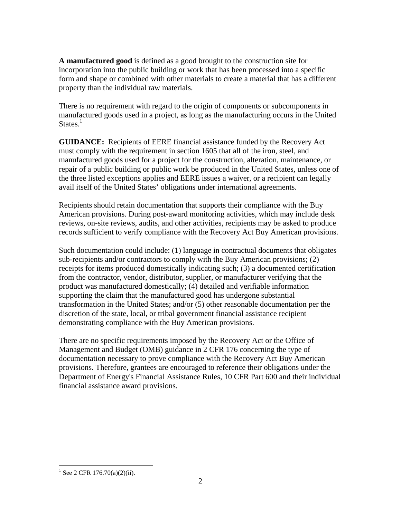**A manufactured good** is defined as a good brought to the construction site for incorporation into the public building or work that has been processed into a specific form and shape or combined with other materials to create a material that has a different property than the individual raw materials.

There is no requirement with regard to the origin of components or subcomponents in manufactured goods used in a project, as long as the manufacturing occurs in the United States. $<sup>1</sup>$ </sup>

**GUIDANCE:** Recipients of EERE financial assistance funded by the Recovery Act must comply with the requirement in section 1605 that all of the iron, steel, and manufactured goods used for a project for the construction, alteration, maintenance, or repair of a public building or public work be produced in the United States, unless one of the three listed exceptions applies and EERE issues a waiver, or a recipient can legally avail itself of the United States' obligations under international agreements.

Recipients should retain documentation that supports their compliance with the Buy American provisions. During post-award monitoring activities, which may include desk reviews, on-site reviews, audits, and other activities, recipients may be asked to produce records sufficient to verify compliance with the Recovery Act Buy American provisions.

Such documentation could include: (1) language in contractual documents that obligates sub-recipients and/or contractors to comply with the Buy American provisions; (2) receipts for items produced domestically indicating such; (3) a documented certification from the contractor, vendor, distributor, supplier, or manufacturer verifying that the product was manufactured domestically; (4) detailed and verifiable information supporting the claim that the manufactured good has undergone substantial transformation in the United States; and/or (5) other reasonable documentation per the discretion of the state, local, or tribal government financial assistance recipient demonstrating compliance with the Buy American provisions.

There are no specific requirements imposed by the Recovery Act or the Office of Management and Budget (OMB) guidance in 2 CFR 176 concerning the type of documentation necessary to prove compliance with the Recovery Act Buy American provisions. Therefore, grantees are encouraged to reference their obligations under the Department of Energy's Financial Assistance Rules, 10 CFR Part 600 and their individual financial assistance award provisions.

<sup>1</sup>  $1$  See 2 CFR 176.70(a)(2)(ii).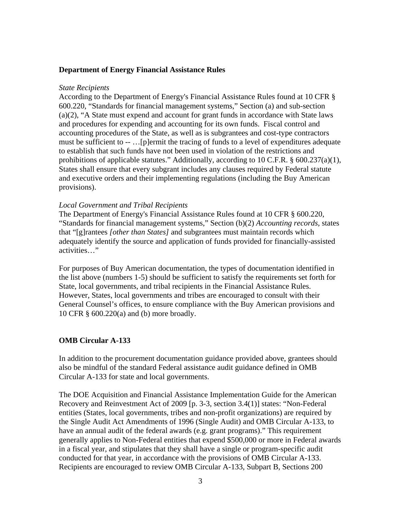### **Department of Energy Financial Assistance Rules**

#### *State Recipients*

According to the Department of Energy's Financial Assistance Rules found at 10 CFR § 600.220, "Standards for financial management systems," Section (a) and sub-section (a)(2), "A State must expend and account for grant funds in accordance with State laws and procedures for expending and accounting for its own funds. Fiscal control and accounting procedures of the State, as well as is subgrantees and cost-type contractors must be sufficient to -- …[p]ermit the tracing of funds to a level of expenditures adequate to establish that such funds have not been used in violation of the restrictions and prohibitions of applicable statutes." Additionally, according to 10 C.F.R. §  $600.237(a)(1)$ , States shall ensure that every subgrant includes any clauses required by Federal statute and executive orders and their implementing regulations (including the Buy American provisions).

#### *Local Government and Tribal Recipients*

The Department of Energy's Financial Assistance Rules found at 10 CFR § 600.220, "Standards for financial management systems," Section (b)(2) *Accounting records,* states that "[g]rantees *[other than States]* and subgrantees must maintain records which adequately identify the source and application of funds provided for financially-assisted activities…"

For purposes of Buy American documentation, the types of documentation identified in the list above (numbers 1-5) should be sufficient to satisfy the requirements set forth for State, local governments, and tribal recipients in the Financial Assistance Rules. However, States, local governments and tribes are encouraged to consult with their General Counsel's offices, to ensure compliance with the Buy American provisions and 10 CFR § 600.220(a) and (b) more broadly.

#### **OMB Circular A-133**

In addition to the procurement documentation guidance provided above, grantees should also be mindful of the standard Federal assistance audit guidance defined in OMB Circular A-133 for state and local governments.

The DOE Acquisition and Financial Assistance Implementation Guide for the American Recovery and Reinvestment Act of 2009 [p. 3-3, section 3.4(1)] states: "Non-Federal entities (States, local governments, tribes and non-profit organizations) are required by the Single Audit Act Amendments of 1996 (Single Audit) and OMB Circular A-133, to have an annual audit of the federal awards (e.g. grant programs)." This requirement generally applies to Non-Federal entities that expend \$500,000 or more in Federal awards in a fiscal year, and stipulates that they shall have a single or program-specific audit conducted for that year, in accordance with the provisions of OMB Circular A-133. Recipients are encouraged to review OMB Circular A-133, Subpart B, Sections 200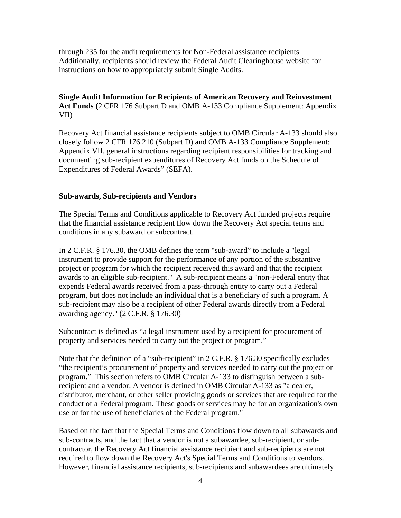through 235 for the audit requirements for Non-Federal assistance recipients. Additionally, recipients should review the Federal Audit Clearinghouse website for instructions on how to appropriately submit Single Audits.

**Single Audit Information for Recipients of American Recovery and Reinvestment Act Funds (**2 CFR 176 Subpart D and OMB A-133 Compliance Supplement: Appendix VII)

Recovery Act financial assistance recipients subject to OMB Circular A-133 should also closely follow 2 CFR 176.210 (Subpart D) and OMB A-133 Compliance Supplement: Appendix VII, general instructions regarding recipient responsibilities for tracking and documenting sub-recipient expenditures of Recovery Act funds on the Schedule of Expenditures of Federal Awards" (SEFA).

### **Sub-awards, Sub-recipients and Vendors**

The Special Terms and Conditions applicable to Recovery Act funded projects require that the financial assistance recipient flow down the Recovery Act special terms and conditions in any subaward or subcontract.

In 2 C.F.R. § 176.30, the OMB defines the term "sub-award" to include a "legal instrument to provide support for the performance of any portion of the substantive project or program for which the recipient received this award and that the recipient awards to an eligible sub-recipient." A sub-recipient means a "non-Federal entity that expends Federal awards received from a pass-through entity to carry out a Federal program, but does not include an individual that is a beneficiary of such a program. A sub-recipient may also be a recipient of other Federal awards directly from a Federal awarding agency." (2 C.F.R. § 176.30)

Subcontract is defined as "a legal instrument used by a recipient for procurement of property and services needed to carry out the project or program."

Note that the definition of a "sub-recipient" in 2 C.F.R. § 176.30 specifically excludes "the recipient's procurement of property and services needed to carry out the project or program." This section refers to OMB Circular A-133 to distinguish between a subrecipient and a vendor. A vendor is defined in OMB Circular A-133 as "a dealer, distributor, merchant, or other seller providing goods or services that are required for the conduct of a Federal program. These goods or services may be for an organization's own use or for the use of beneficiaries of the Federal program."

Based on the fact that the Special Terms and Conditions flow down to all subawards and sub-contracts, and the fact that a vendor is not a subawardee, sub-recipient, or subcontractor, the Recovery Act financial assistance recipient and sub-recipients are not required to flow down the Recovery Act's Special Terms and Conditions to vendors. However, financial assistance recipients, sub-recipients and subawardees are ultimately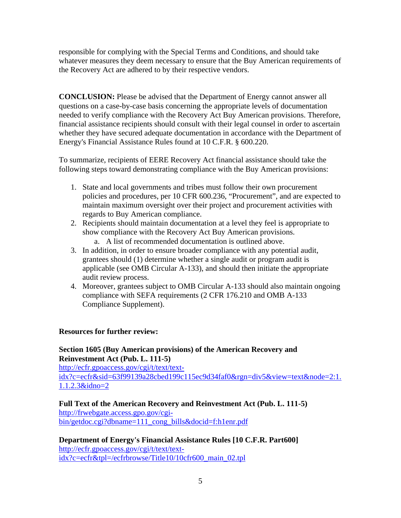responsible for complying with the Special Terms and Conditions, and should take whatever measures they deem necessary to ensure that the Buy American requirements of the Recovery Act are adhered to by their respective vendors.

**CONCLUSION:** Please be advised that the Department of Energy cannot answer all questions on a case-by-case basis concerning the appropriate levels of documentation needed to verify compliance with the Recovery Act Buy American provisions. Therefore, financial assistance recipients should consult with their legal counsel in order to ascertain whether they have secured adequate documentation in accordance with the Department of Energy's Financial Assistance Rules found at 10 C.F.R. § 600.220.

To summarize, recipients of EERE Recovery Act financial assistance should take the following steps toward demonstrating compliance with the Buy American provisions:

- 1. State and local governments and tribes must follow their own procurement policies and procedures, per 10 CFR 600.236, "Procurement", and are expected to maintain maximum oversight over their project and procurement activities with regards to Buy American compliance.
- 2. Recipients should maintain documentation at a level they feel is appropriate to show compliance with the Recovery Act Buy American provisions.
	- a. A list of recommended documentation is outlined above.
- 3. In addition, in order to ensure broader compliance with any potential audit, grantees should (1) determine whether a single audit or program audit is applicable (see OMB Circular A-133), and should then initiate the appropriate audit review process.
- 4. Moreover, grantees subject to OMB Circular A-133 should also maintain ongoing compliance with SEFA requirements (2 CFR 176.210 and OMB A-133 Compliance Supplement).

### **Resources for further review:**

### **Section 1605 (Buy American provisions) of the American Recovery and Reinvestment Act (Pub. L. 111-5)**

http://ecfr.gpoaccess.gov/cgi/t/text/textidx?c=ecfr&sid=63f99139a28cbed199c115ec9d34faf0&rgn=div5&view=text&node=2:1. 1.1.2.3&idno=2

**Full Text of the American Recovery and Reinvestment Act (Pub. L. 111-5)**  http://frwebgate.access.gpo.gov/cgibin/getdoc.cgi?dbname=111\_cong\_bills&docid=f:h1enr.pdf

**Department of Energy's Financial Assistance Rules [10 C.F.R. Part600]**  http://ecfr.gpoaccess.gov/cgi/t/text/textidx?c=ecfr&tpl=/ecfrbrowse/Title10/10cfr600\_main\_02.tpl